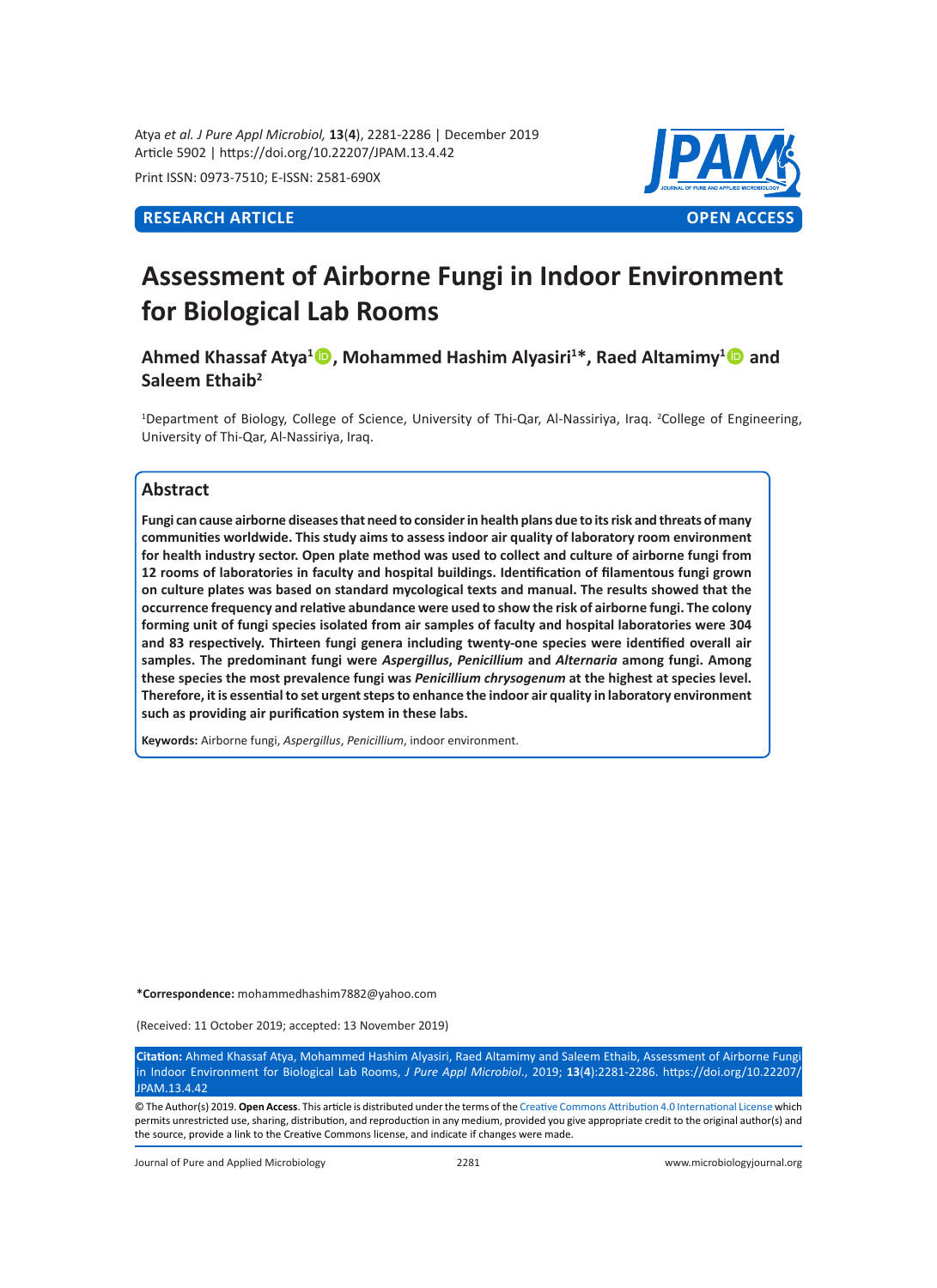Atya *et al. J Pure Appl Microbiol,* **13**(**4**), 2281-2286 | December 2019 Article 5902 | https://doi.org/10.22207/JPAM.13.4.42

Print ISSN: 0973-7510; E-ISSN: 2581-690X



# **Assessment of Airborne Fungi in Indoor Environment for Biological Lab Rooms**

Ahmed Khassaf Atya<sup>1</sup> **D**, Mohammed Hashim Alyasiri<sup>1\*</sup>, Raed Altamimy<sup>1</sup> **D** and **Saleem Ethaib2** 

<sup>1</sup>Department of Biology, College of Science, University of Thi-Qar, Al-Nassiriya, Iraq. <sup>2</sup>College of Engineering, University of Thi-Qar, Al-Nassiriya, Iraq.

# **Abstract**

**Fungi can cause airborne diseases that need to consider in health plans due to its risk and threats of many communities worldwide. This study aims to assess indoor air quality of laboratory room environment for health industry sector. Open plate method was used to collect and culture of airborne fungi from 12 rooms of laboratories in faculty and hospital buildings. Identification of filamentous fungi grown on culture plates was based on standard mycological texts and manual. The results showed that the occurrence frequency and relative abundance were used to show the risk of airborne fungi. The colony forming unit of fungi species isolated from air samples of faculty and hospital laboratories were 304 and 83 respectively. Thirteen fungi genera including twenty-one species were identified overall air samples. The predominant fungi were** *Aspergillus***,** *Penicillium* **and** *Alternaria* **among fungi. Among these species the most prevalence fungi was** *Penicillium chrysogenum* **at the highest at species level. Therefore, it is essential to set urgent steps to enhance the indoor air quality in laboratory environment such as providing air purification system in these labs.** 

**Keywords:** Airborne fungi, *Aspergillus*, *Penicillium*, indoor environment.

**\*Correspondence:** mohammedhashim7882@yahoo.com

(Received: 11 October 2019; accepted: 13 November 2019)

**Citation:** Ahmed Khassaf Atya, Mohammed Hashim Alyasiri, Raed Altamimy and Saleem Ethaib, Assessment of Airborne Fungi in Indoor Environment for Biological Lab Rooms, *J Pure Appl Microbiol*., 2019; **13**(**4**):2281-2286. https://doi.org/10.22207/ **IPAM 13.4.42** 

© The Author(s) 2019. **Open Access**. This article is distributed under the terms of the [Creative Commons Attribution 4.0 International License](https://creativecommons.org/licenses/by/4.0/) which permits unrestricted use, sharing, distribution, and reproduction in any medium, provided you give appropriate credit to the original author(s) and the source, provide a link to the Creative Commons license, and indicate if changes were made.

Journal of Pure and Applied Microbiology 2281 www.microbiologyjournal.org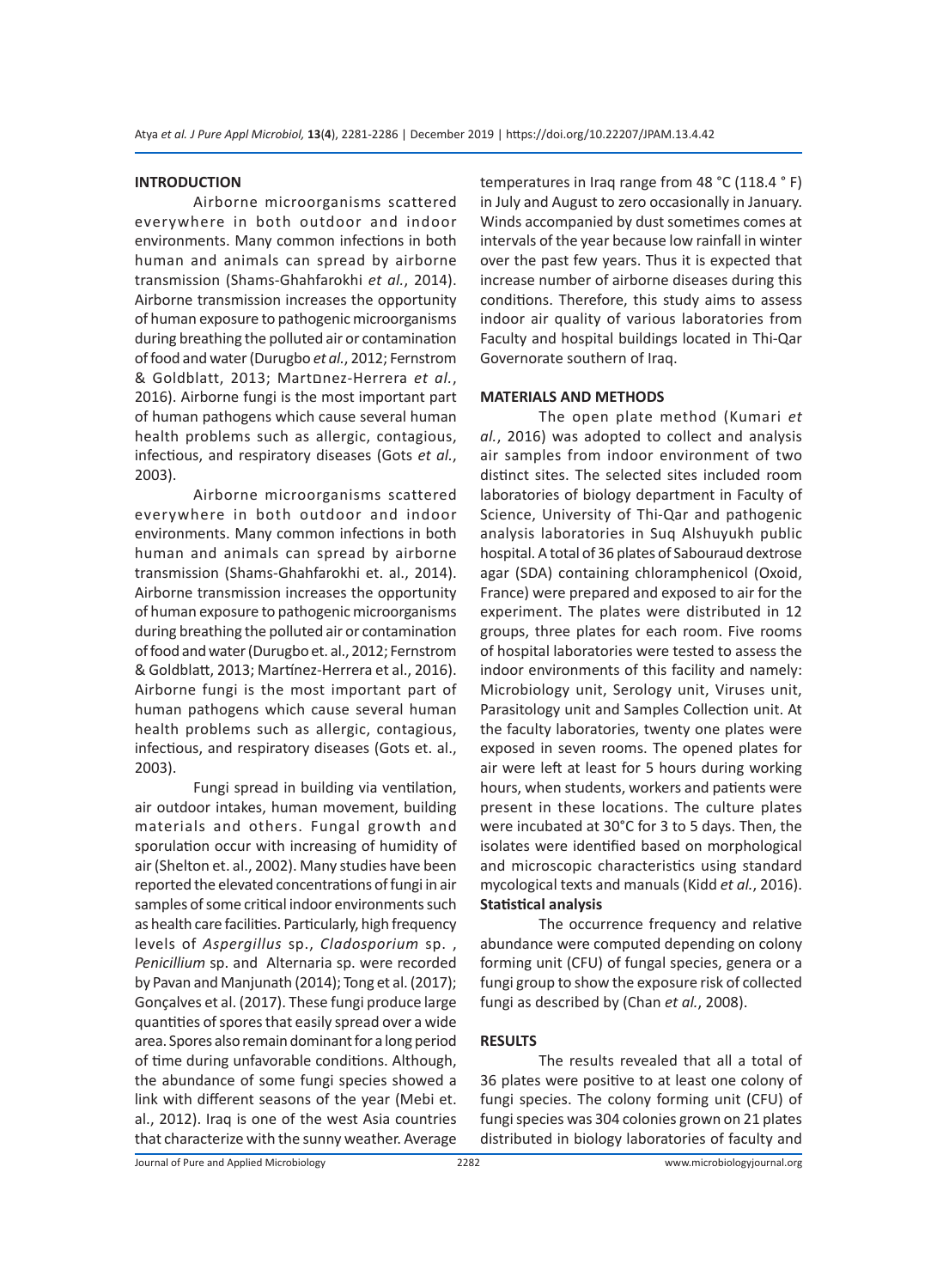#### **INTRODUCTION**

Airborne microorganisms scattered everywhere in both outdoor and indoor environments. Many common infections in both human and animals can spread by airborne transmission (Shams-Ghahfarokhi *et al.*, 2014). Airborne transmission increases the opportunity of human exposure to pathogenic microorganisms during breathing the polluted air or contamination of food and water (Durugbo *et al.*, 2012; Fernstrom & Goldblatt, 2013; Martםnez-Herrera *et al.*, 2016). Airborne fungi is the most important part of human pathogens which cause several human health problems such as allergic, contagious, infectious, and respiratory diseases (Gots *et al.*, 2003).

Airborne microorganisms scattered everywhere in both outdoor and indoor environments. Many common infections in both human and animals can spread by airborne transmission (Shams-Ghahfarokhi et. al., 2014). Airborne transmission increases the opportunity of human exposure to pathogenic microorganisms during breathing the polluted air or contamination of food and water (Durugbo et. al., 2012; Fernstrom & Goldblatt, 2013; Martínez-Herrera et al., 2016). Airborne fungi is the most important part of human pathogens which cause several human health problems such as allergic, contagious, infectious, and respiratory diseases (Gots et. al., 2003).

Fungi spread in building via ventilation, air outdoor intakes, human movement, building materials and others. Fungal growth and sporulation occur with increasing of humidity of air (Shelton et. al., 2002). Many studies have been reported the elevated concentrations of fungi in air samples of some critical indoor environments such as health care facilities. Particularly, high frequency levels of *Aspergillus* sp., *Cladosporium* sp. , *Penicillium* sp. and Alternaria sp. were recorded by Pavan and Manjunath (2014); Tong et al. (2017); Gonçalves et al. (2017). These fungi produce large quantities of spores that easily spread over a wide area. Spores also remain dominant for a long period of time during unfavorable conditions. Although, the abundance of some fungi species showed a link with different seasons of the year (Mebi et. al., 2012). Iraq is one of the west Asia countries that characterize with the sunny weather. Average temperatures in Iraq range from 48 °C (118.4 ° F) in July and August to zero occasionally in January. Winds accompanied by dust sometimes comes at intervals of the year because low rainfall in winter over the past few years. Thus it is expected that increase number of airborne diseases during this conditions. Therefore, this study aims to assess indoor air quality of various laboratories from Faculty and hospital buildings located in Thi-Qar Governorate southern of Iraq.

# **MATERIALS AND METHODS**

The open plate method (Kumari *et al.*, 2016) was adopted to collect and analysis air samples from indoor environment of two distinct sites. The selected sites included room laboratories of biology department in Faculty of Science, University of Thi-Qar and pathogenic analysis laboratories in Suq Alshuyukh public hospital. A total of 36 plates of Sabouraud dextrose agar (SDA) containing chloramphenicol (Oxoid, France) were prepared and exposed to air for the experiment. The plates were distributed in 12 groups, three plates for each room. Five rooms of hospital laboratories were tested to assess the indoor environments of this facility and namely: Microbiology unit, Serology unit, Viruses unit, Parasitology unit and Samples Collection unit. At the faculty laboratories, twenty one plates were exposed in seven rooms. The opened plates for air were left at least for 5 hours during working hours, when students, workers and patients were present in these locations. The culture plates were incubated at 30°C for 3 to 5 days. Then, the isolates were identified based on morphological and microscopic characteristics using standard mycological texts and manuals (Kidd *et al.*, 2016). **Statistical analysis** 

The occurrence frequency and relative abundance were computed depending on colony forming unit (CFU) of fungal species, genera or a fungi group to show the exposure risk of collected fungi as described by (Chan *et al.*, 2008).

#### **RESULTS**

The results revealed that all a total of 36 plates were positive to at least one colony of fungi species. The colony forming unit (CFU) of fungi species was 304 colonies grown on 21 plates distributed in biology laboratories of faculty and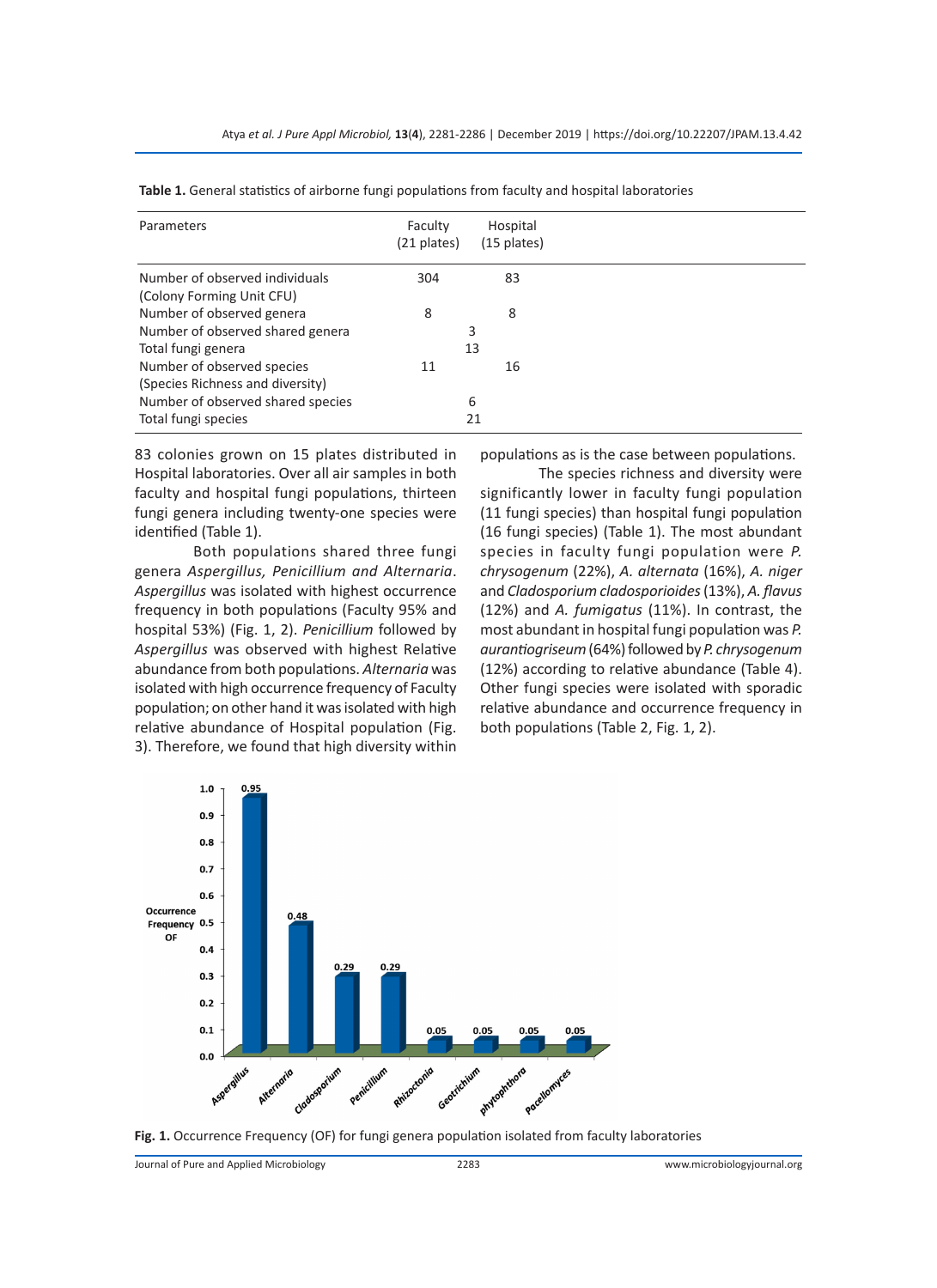| Parameters                        | Faculty<br>(21 plates) | Hospital<br>$(15$ plates) |
|-----------------------------------|------------------------|---------------------------|
| Number of observed individuals    | 304                    | 83                        |
| (Colony Forming Unit CFU)         |                        |                           |
| Number of observed genera         | 8                      | 8                         |
| Number of observed shared genera  |                        | 3                         |
| Total fungi genera                |                        | 13                        |
| Number of observed species        | 11                     | 16                        |
| (Species Richness and diversity)  |                        |                           |
| Number of observed shared species |                        | 6                         |
| Total fungi species               |                        | 21                        |

**Table 1.** General statistics of airborne fungi populations from faculty and hospital laboratories

83 colonies grown on 15 plates distributed in Hospital laboratories. Over all air samples in both faculty and hospital fungi populations, thirteen fungi genera including twenty-one species were identified (Table 1).

Both populations shared three fungi genera *Aspergillus, Penicillium and Alternaria*. *Aspergillus* was isolated with highest occurrence frequency in both populations (Faculty 95% and hospital 53%) (Fig. 1, 2). *Penicillium* followed by *Aspergillus* was observed with highest Relative abundance from both populations. *Alternaria* was isolated with high occurrence frequency of Faculty population; on other hand it was isolated with high relative abundance of Hospital population (Fig. 3). Therefore, we found that high diversity within populations as is the case between populations.

The species richness and diversity were significantly lower in faculty fungi population (11 fungi species) than hospital fungi population (16 fungi species) (Table 1). The most abundant species in faculty fungi population were *P. chrysogenum* (22%), *A. alternata* (16%), *A. niger* and *Cladosporium cladosporioides* (13%), *A. flavus* (12%) and *A. fumigatus* (11%). In contrast, the most abundant in hospital fungi population was *P. aurantiogriseum* (64%) followed by *P. chrysogenum* (12%) according to relative abundance (Table 4). Other fungi species were isolated with sporadic relative abundance and occurrence frequency in both populations (Table 2, Fig. 1, 2).





Journal of Pure and Applied Microbiology 2283 www.microbiologyjournal.org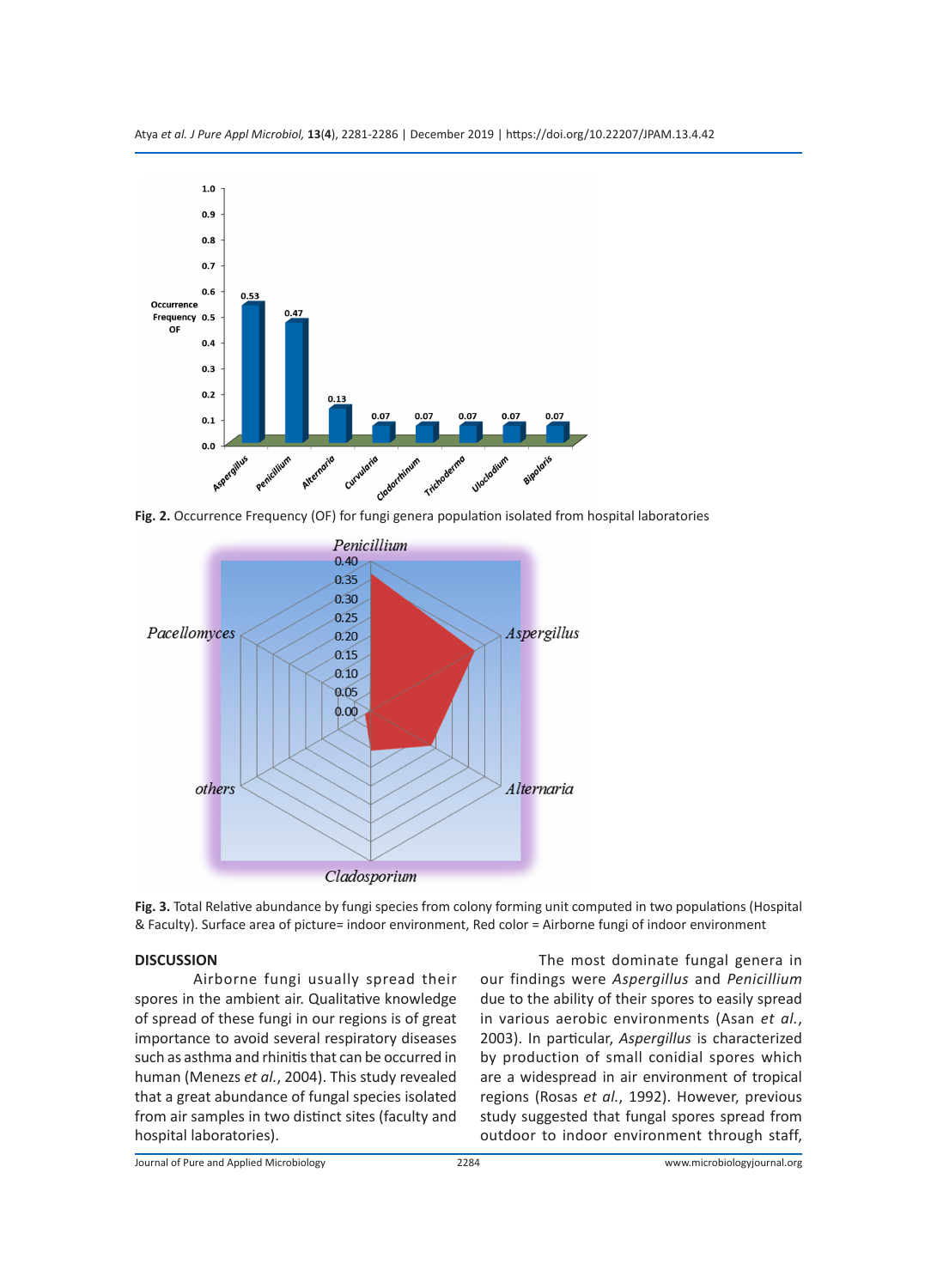

**Fig. 2.** Occurrence Frequency (OF) for fungi genera population isolated from hospital laboratories



**Fig. 3.** Total Relative abundance by fungi species from colony forming unit computed in two populations (Hospital & Faculty). Surface area of picture= indoor environment, Red color = Airborne fungi of indoor environment

# **DISCUSSION**

Airborne fungi usually spread their spores in the ambient air. Qualitative knowledge of spread of these fungi in our regions is of great importance to avoid several respiratory diseases such as asthma and rhinitis that can be occurred in human (Menezs *et al.*, 2004). This study revealed that a great abundance of fungal species isolated from air samples in two distinct sites (faculty and hospital laboratories).

The most dominate fungal genera in our findings were *Aspergillus* and *Penicillium* due to the ability of their spores to easily spread in various aerobic environments (Asan *et al.*, 2003). In particular, *Aspergillus* is characterized by production of small conidial spores which are a widespread in air environment of tropical regions (Rosas *et al.*, 1992). However, previous study suggested that fungal spores spread from outdoor to indoor environment through staff,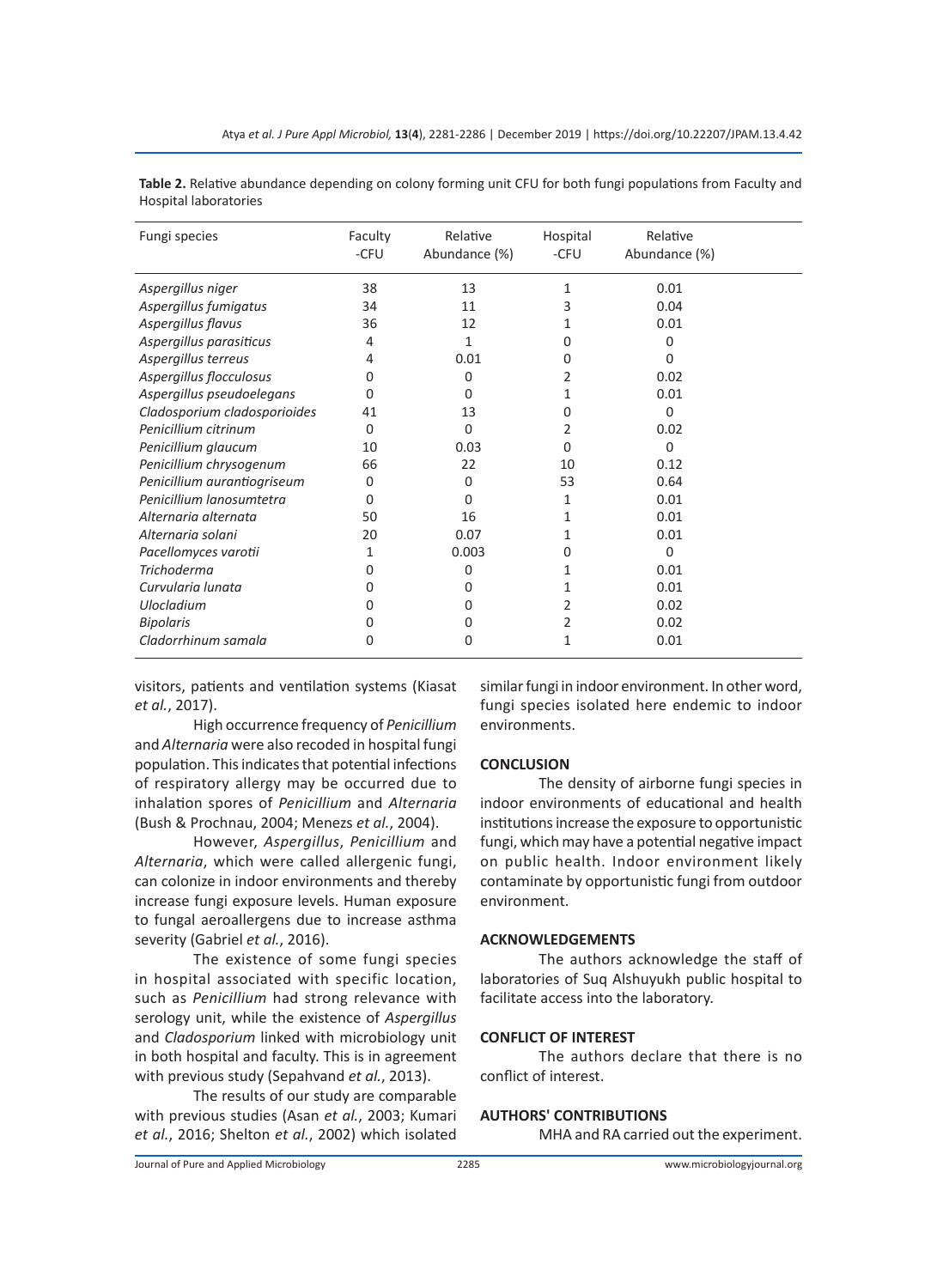| Fungi species                | Faculty<br>-CFU | Relative<br>Abundance (%) | Hospital<br>-CFU | Relative<br>Abundance (%) |  |
|------------------------------|-----------------|---------------------------|------------------|---------------------------|--|
| Aspergillus niger            | 38              | 13                        | 1                | 0.01                      |  |
| Aspergillus fumigatus        | 34              | 11                        | 3                | 0.04                      |  |
| Aspergillus flavus           | 36              | 12                        |                  | 0.01                      |  |
| Aspergillus parasiticus      | 4               | 1                         | 0                | 0                         |  |
| Aspergillus terreus          | 4               | 0.01                      | 0                | U                         |  |
| Aspergillus flocculosus      | 0               | 0                         | 2                | 0.02                      |  |
| Aspergillus pseudoelegans    | O               | O                         | 1                | 0.01                      |  |
| Cladosporium cladosporioides | 41              | 13                        | 0                | $\Omega$                  |  |
| Penicillium citrinum         | 0               | O                         | 2                | 0.02                      |  |
| Penicillium glaucum          | 10              | 0.03                      | 0                | $\Omega$                  |  |
| Penicillium chrysogenum      | 66              | 22                        | 10               | 0.12                      |  |
| Penicillium aurantiogriseum  | 0               | 0                         | 53               | 0.64                      |  |
| Penicillium lanosumtetra     | 0               | O                         | 1                | 0.01                      |  |
| Alternaria alternata         | 50              | 16                        | 1                | 0.01                      |  |
| Alternaria solani            | 20              | 0.07                      | 1                | 0.01                      |  |
| Pacellomyces varotii         | 1               | 0.003                     | 0                | $\Omega$                  |  |
| <b>Trichoderma</b>           | 0               | 0                         | 1                | 0.01                      |  |
| Curvularia lunata            | 0               | O                         | 1                | 0.01                      |  |
| <b>Ulocladium</b>            | 0               | ი                         | 2                | 0.02                      |  |
| <b>Bipolaris</b>             | O               | Ω                         | 2                | 0.02                      |  |
| Cladorrhinum samala          | 0               | O                         | 1                | 0.01                      |  |

**Table 2.** Relative abundance depending on colony forming unit CFU for both fungi populations from Faculty and Hospital laboratories

visitors, patients and ventilation systems (Kiasat *et al.*, 2017).

High occurrence frequency of *Penicillium* and *Alternaria* were also recoded in hospital fungi population. This indicates that potential infections of respiratory allergy may be occurred due to inhalation spores of *Penicillium* and *Alternaria* (Bush & Prochnau, 2004; Menezs *et al.*, 2004).

However, *Aspergillus*, *Penicillium* and *Alternaria*, which were called allergenic fungi, can colonize in indoor environments and thereby increase fungi exposure levels. Human exposure to fungal aeroallergens due to increase asthma severity (Gabriel *et al.*, 2016).

The existence of some fungi species in hospital associated with specific location, such as *Penicillium* had strong relevance with serology unit, while the existence of *Aspergillus* and *Cladosporium* linked with microbiology unit in both hospital and faculty. This is in agreement with previous study (Sepahvand *et al.*, 2013).

The results of our study are comparable with previous studies (Asan *et al.*, 2003; Kumari *et al.*, 2016; Shelton *et al.*, 2002) which isolated

similar fungi in indoor environment. In other word, fungi species isolated here endemic to indoor environments.

#### **CONCLUSION**

The density of airborne fungi species in indoor environments of educational and health institutions increase the exposure to opportunistic fungi, which may have a potential negative impact on public health. Indoor environment likely contaminate by opportunistic fungi from outdoor environment.

#### **ACKNOWLEDGEMENTS**

The authors acknowledge the staff of laboratories of Suq Alshuyukh public hospital to facilitate access into the laboratory.

# **CONFLICT OF INTEREST**

The authors declare that there is no conflict of interest.

# **AUTHORS' CONTRIBUTIONS**

MHA and RA carried out the experiment.